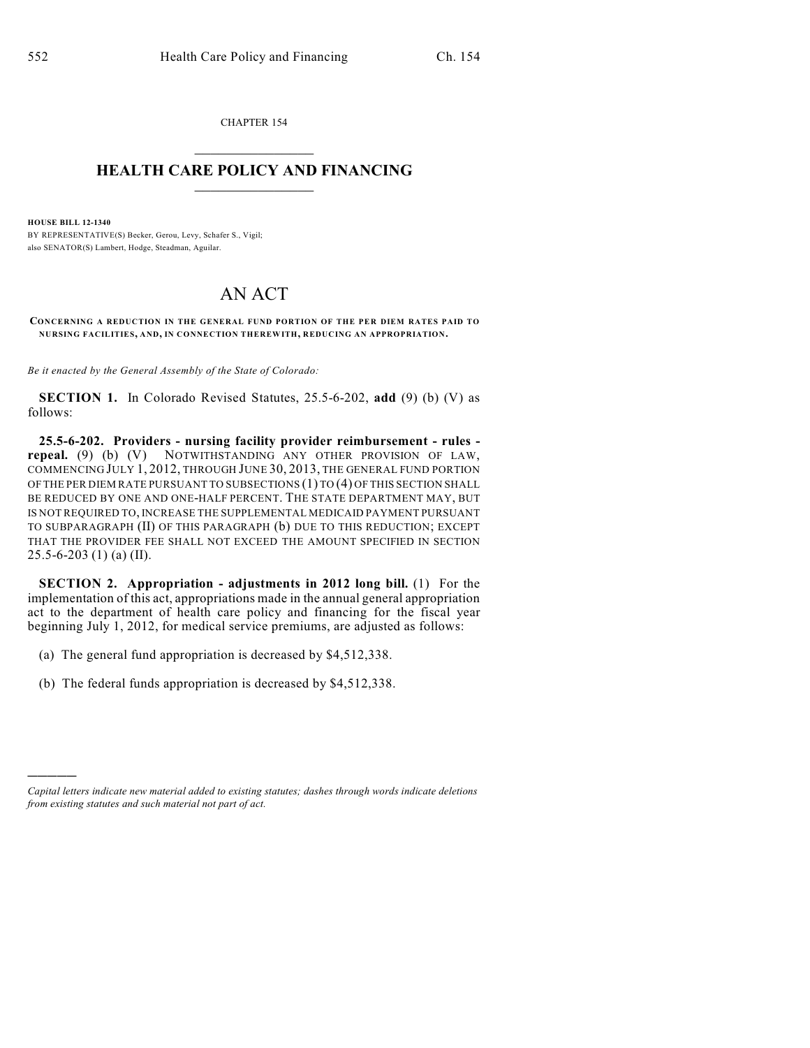CHAPTER 154  $\mathcal{L}_\text{max}$  . The set of the set of the set of the set of the set of the set of the set of the set of the set of the set of the set of the set of the set of the set of the set of the set of the set of the set of the set

## **HEALTH CARE POLICY AND FINANCING**  $\_$   $\_$   $\_$   $\_$   $\_$   $\_$   $\_$   $\_$

**HOUSE BILL 12-1340** BY REPRESENTATIVE(S) Becker, Gerou, Levy, Schafer S., Vigil; also SENATOR(S) Lambert, Hodge, Steadman, Aguilar.

## AN ACT

**CONCERNING A REDUCTION IN THE GENERAL FUND PORTION OF THE PER DIEM RATES PAID TO NURSING FACILITIES, AND, IN CONNECTION THEREWITH, REDUCING AN APPROPRIATION.**

*Be it enacted by the General Assembly of the State of Colorado:*

**SECTION 1.** In Colorado Revised Statutes, 25.5-6-202, **add** (9) (b) (V) as follows:

**25.5-6-202. Providers - nursing facility provider reimbursement - rules repeal.** (9) (b) (V) NOTWITHSTANDING ANY OTHER PROVISION OF LAW, COMMENCING JULY 1, 2012, THROUGH JUNE 30, 2013, THE GENERAL FUND PORTION OF THE PER DIEM RATE PURSUANT TO SUBSECTIONS (1) TO (4) OF THIS SECTION SHALL BE REDUCED BY ONE AND ONE-HALF PERCENT. THE STATE DEPARTMENT MAY, BUT IS NOT REQUIRED TO, INCREASE THE SUPPLEMENTAL MEDICAID PAYMENT PURSUANT TO SUBPARAGRAPH (II) OF THIS PARAGRAPH (b) DUE TO THIS REDUCTION; EXCEPT THAT THE PROVIDER FEE SHALL NOT EXCEED THE AMOUNT SPECIFIED IN SECTION 25.5-6-203 (1) (a) (II).

**SECTION 2. Appropriation - adjustments in 2012 long bill.** (1) For the implementation of this act, appropriations made in the annual general appropriation act to the department of health care policy and financing for the fiscal year beginning July 1, 2012, for medical service premiums, are adjusted as follows:

- (a) The general fund appropriation is decreased by \$4,512,338.
- (b) The federal funds appropriation is decreased by \$4,512,338.

)))))

*Capital letters indicate new material added to existing statutes; dashes through words indicate deletions from existing statutes and such material not part of act.*